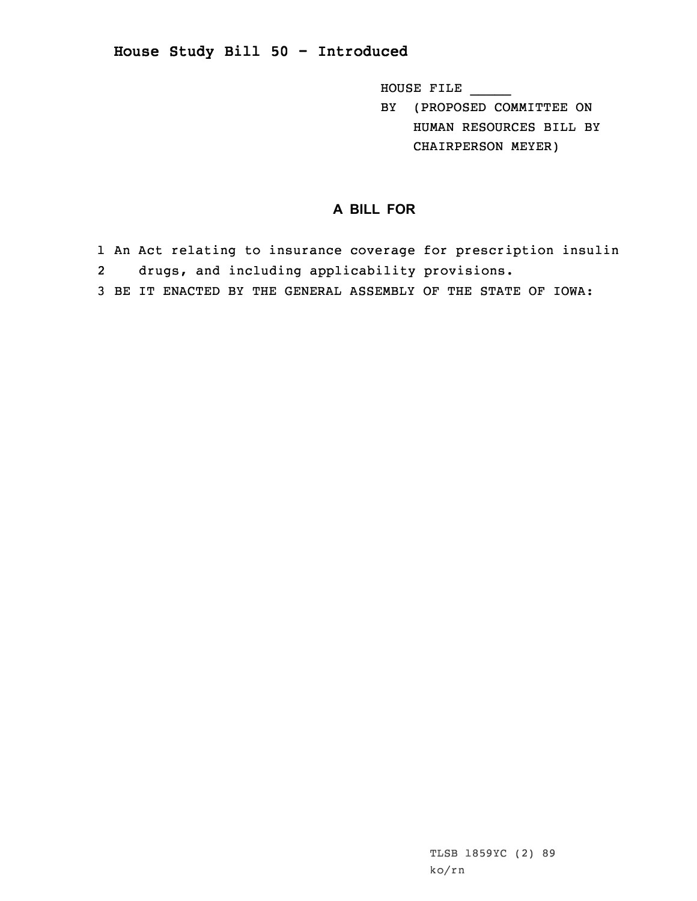## **House Study Bill 50 - Introduced**

HOUSE FILE \_\_\_\_\_

BY (PROPOSED COMMITTEE ON HUMAN RESOURCES BILL BY CHAIRPERSON MEYER)

## **A BILL FOR**

- 1 An Act relating to insurance coverage for prescription insulin
- 2drugs, and including applicability provisions.
- 3 BE IT ENACTED BY THE GENERAL ASSEMBLY OF THE STATE OF IOWA: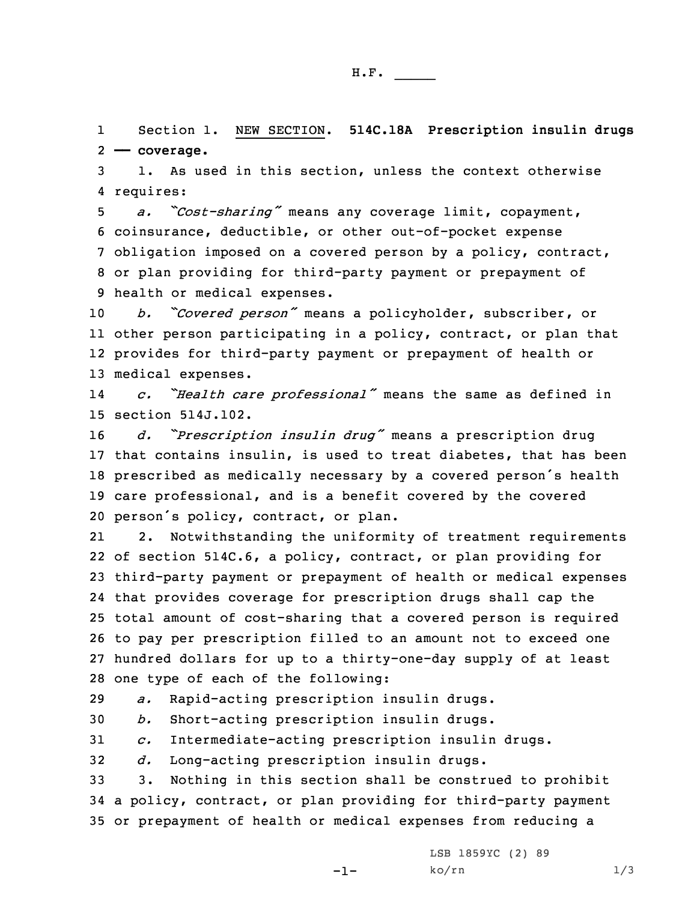1 Section 1. NEW SECTION. **514C.18A Prescription insulin drugs** 2 **—— coverage.**

3 1. As used in this section, unless the context otherwise 4 requires:

 *a. "Cost-sharing"* means any coverage limit, copayment, coinsurance, deductible, or other out-of-pocket expense obligation imposed on <sup>a</sup> covered person by <sup>a</sup> policy, contract, or plan providing for third-party payment or prepayment of health or medical expenses.

 *b. "Covered person"* means <sup>a</sup> policyholder, subscriber, or other person participating in <sup>a</sup> policy, contract, or plan that provides for third-party payment or prepayment of health or medical expenses.

14 *c. "Health care professional"* means the same as defined in 15 section 514J.102.

 *d. "Prescription insulin drug"* means <sup>a</sup> prescription drug that contains insulin, is used to treat diabetes, that has been prescribed as medically necessary by <sup>a</sup> covered person's health care professional, and is <sup>a</sup> benefit covered by the covered person's policy, contract, or plan.

21 2. Notwithstanding the uniformity of treatment requirements of section 514C.6, <sup>a</sup> policy, contract, or plan providing for third-party payment or prepayment of health or medical expenses that provides coverage for prescription drugs shall cap the total amount of cost-sharing that <sup>a</sup> covered person is required to pay per prescription filled to an amount not to exceed one hundred dollars for up to <sup>a</sup> thirty-one-day supply of at least one type of each of the following:

29 *a.* Rapid-acting prescription insulin drugs.

30 *b.* Short-acting prescription insulin drugs.

31 *c.* Intermediate-acting prescription insulin drugs.

32 *d.* Long-acting prescription insulin drugs.

33 3. Nothing in this section shall be construed to prohibit 34 <sup>a</sup> policy, contract, or plan providing for third-party payment 35 or prepayment of health or medical expenses from reducing <sup>a</sup>

-1-

LSB 1859YC (2) 89  $ko/rn$  1/3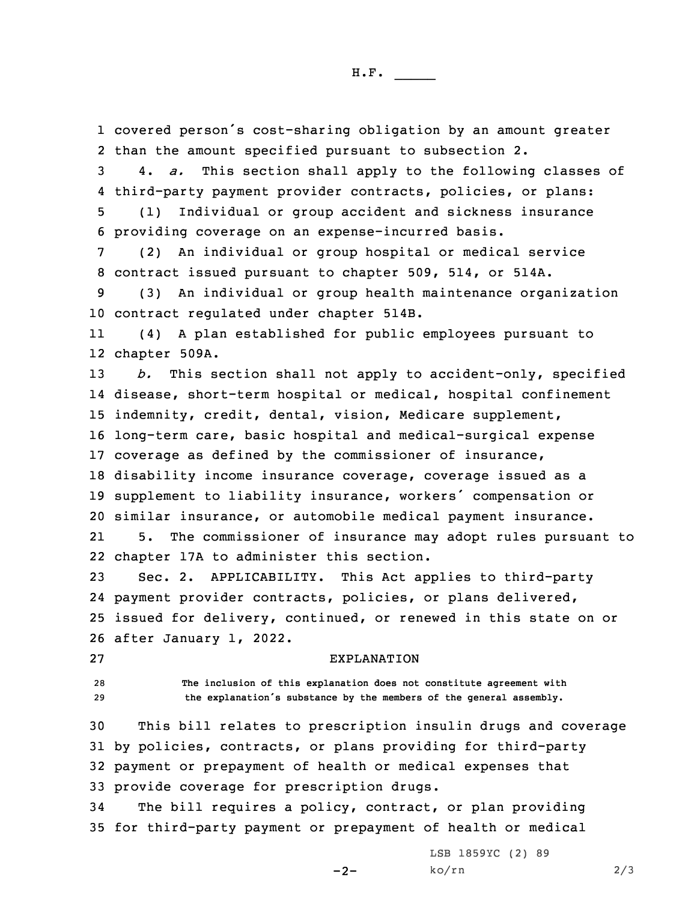1 covered person's cost-sharing obligation by an amount greater 2 than the amount specified pursuant to subsection 2.

3 4. *a.* This section shall apply to the following classes of 4 third-party payment provider contracts, policies, or plans:

5 (1) Individual or group accident and sickness insurance 6 providing coverage on an expense-incurred basis.

7 (2) An individual or group hospital or medical service 8 contract issued pursuant to chapter 509, 514, or 514A.

9 (3) An individual or group health maintenance organization 10 contract regulated under chapter 514B.

11 (4) <sup>A</sup> plan established for public employees pursuant to 12 chapter 509A.

 *b.* This section shall not apply to accident-only, specified disease, short-term hospital or medical, hospital confinement indemnity, credit, dental, vision, Medicare supplement, long-term care, basic hospital and medical-surgical expense coverage as defined by the commissioner of insurance, disability income insurance coverage, coverage issued as <sup>a</sup> supplement to liability insurance, workers' compensation or similar insurance, or automobile medical payment insurance. 215. The commissioner of insurance may adopt rules pursuant to

22 chapter 17A to administer this section.

 Sec. 2. APPLICABILITY. This Act applies to third-party payment provider contracts, policies, or plans delivered, issued for delivery, continued, or renewed in this state on or after January 1, 2022.

27 EXPLANATION

28 **The inclusion of this explanation does not constitute agreement with** <sup>29</sup> **the explanation's substance by the members of the general assembly.**

 This bill relates to prescription insulin drugs and coverage by policies, contracts, or plans providing for third-party payment or prepayment of health or medical expenses that provide coverage for prescription drugs.

34 The bill requires <sup>a</sup> policy, contract, or plan providing 35 for third-party payment or prepayment of health or medical

 $-2-$ 

LSB 1859YC (2) 89 ko/rn 2/3